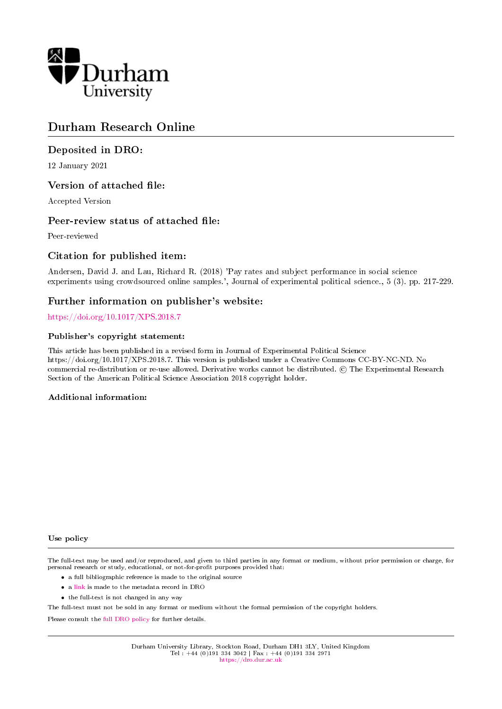

# Durham Research Online

# Deposited in DRO:

12 January 2021

# Version of attached file:

Accepted Version

# Peer-review status of attached file:

Peer-reviewed

# Citation for published item:

Andersen, David J. and Lau, Richard R. (2018) 'Pay rates and subject performance in social science experiments using crowdsourced online samples.', Journal of experimental political science., 5 (3). pp. 217-229.

# Further information on publisher's website:

#### <https://doi.org/10.1017/XPS.2018.7>

#### Publisher's copyright statement:

This article has been published in a revised form in Journal of Experimental Political Science https://doi.org/10.1017/XPS.2018.7. This version is published under a Creative Commons CC-BY-NC-ND. No commercial re-distribution or re-use allowed. Derivative works cannot be distributed. © The Experimental Research Section of the American Political Science Association 2018 copyright holder.

#### Additional information:

#### Use policy

The full-text may be used and/or reproduced, and given to third parties in any format or medium, without prior permission or charge, for personal research or study, educational, or not-for-profit purposes provided that:

- a full bibliographic reference is made to the original source
- a [link](http://dro.dur.ac.uk/32428/) is made to the metadata record in DRO
- the full-text is not changed in any way

The full-text must not be sold in any format or medium without the formal permission of the copyright holders.

Please consult the [full DRO policy](https://dro.dur.ac.uk/policies/usepolicy.pdf) for further details.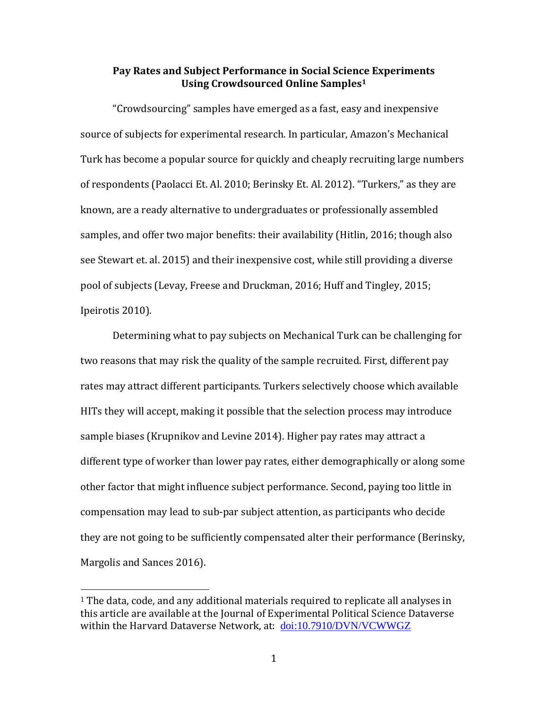# **Pay Rates and Subject Performance in Social Science Experiments Using Crowdsourced Online Samples<sup>1</sup>**

"Crowdsourcing" samples have emerged as a fast, easy and inexpensive source of subjects for experimental research. In particular, Amazon's Mechanical Turk has become a popular source for quickly and cheaply recruiting large numbers of respondents (Paolacci Et. Al. 2010; Berinsky Et. Al. 2012). "Turkers," as they are known, are a ready alternative to undergraduates or professionally assembled samples, and offer two major benefits: their availability (Hitlin, 2016; though also see Stewart et. al. 2015) and their inexpensive cost, while still providing a diverse pool of subjects (Levay, Freese and Druckman, 2016; Huff and Tingley, 2015; Ipeirotis 2010).

Determining what to pay subjects on Mechanical Turk can be challenging for two reasons that may risk the quality of the sample recruited. First, different pay rates may attract different participants. Turkers selectively choose which available HITs they will accept, making it possible that the selection process may introduce sample biases (Krupnikov and Levine 2014). Higher pay rates may attract a different type of worker than lower pay rates, either demographically or along some other factor that might influence subject performance. Second, paying too little in compensation may lead to sub-par subject attention, as participants who decide they are not going to be sufficiently compensated alter their performance (Berinsky, Margolis and Sances 2016).

 $\overline{a}$ 

<sup>&</sup>lt;sup>1</sup> The data, code, and any additional materials required to replicate all analyses in this article are available at the Journal of Experimental Political Science Dataverse within the Harvard Dataverse Network, at: [doi:10.7910/DVN/VCWWGZ](http://dx.doi.org/10.7910/DVN/VCWWGZ)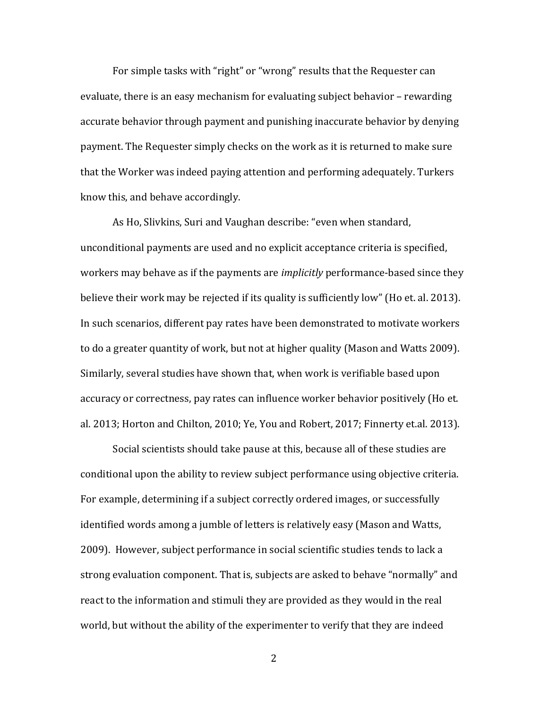For simple tasks with "right" or "wrong" results that the Requester can evaluate, there is an easy mechanism for evaluating subject behavior – rewarding accurate behavior through payment and punishing inaccurate behavior by denying payment. The Requester simply checks on the work as it is returned to make sure that the Worker was indeed paying attention and performing adequately. Turkers know this, and behave accordingly.

As Ho, Slivkins, Suri and Vaughan describe: "even when standard, unconditional payments are used and no explicit acceptance criteria is specified, workers may behave as if the payments are *implicitly* performance-based since they believe their work may be rejected if its quality is sufficiently low" (Ho et. al. 2013). In such scenarios, different pay rates have been demonstrated to motivate workers to do a greater quantity of work, but not at higher quality (Mason and Watts 2009). Similarly, several studies have shown that, when work is verifiable based upon accuracy or correctness, pay rates can influence worker behavior positively (Ho et. al. 2013; Horton and Chilton, 2010; Ye, You and Robert, 2017; Finnerty et.al. 2013).

Social scientists should take pause at this, because all of these studies are conditional upon the ability to review subject performance using objective criteria. For example, determining if a subject correctly ordered images, or successfully identified words among a jumble of letters is relatively easy (Mason and Watts, 2009). However, subject performance in social scientific studies tends to lack a strong evaluation component. That is, subjects are asked to behave "normally" and react to the information and stimuli they are provided as they would in the real world, but without the ability of the experimenter to verify that they are indeed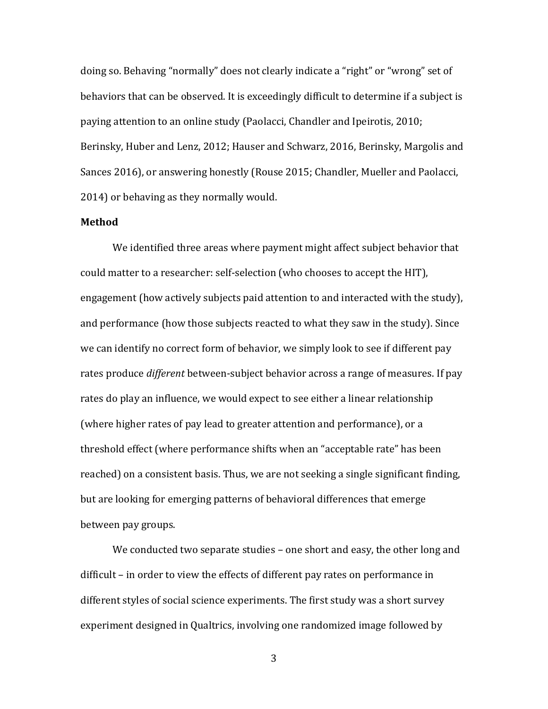doing so. Behaving "normally" does not clearly indicate a "right" or "wrong" set of behaviors that can be observed. It is exceedingly difficult to determine if a subject is paying attention to an online study (Paolacci, Chandler and Ipeirotis, 2010; Berinsky, Huber and Lenz, 2012; Hauser and Schwarz, 2016, Berinsky, Margolis and Sances 2016), or answering honestly (Rouse 2015; Chandler, Mueller and Paolacci, 2014) or behaving as they normally would.

#### **Method**

We identified three areas where payment might affect subject behavior that could matter to a researcher: self-selection (who chooses to accept the HIT), engagement (how actively subjects paid attention to and interacted with the study), and performance (how those subjects reacted to what they saw in the study). Since we can identify no correct form of behavior, we simply look to see if different pay rates produce *different* between-subject behavior across a range of measures. If pay rates do play an influence, we would expect to see either a linear relationship (where higher rates of pay lead to greater attention and performance), or a threshold effect (where performance shifts when an "acceptable rate" has been reached) on a consistent basis. Thus, we are not seeking a single significant finding, but are looking for emerging patterns of behavioral differences that emerge between pay groups.

We conducted two separate studies – one short and easy, the other long and difficult – in order to view the effects of different pay rates on performance in different styles of social science experiments. The first study was a short survey experiment designed in Qualtrics, involving one randomized image followed by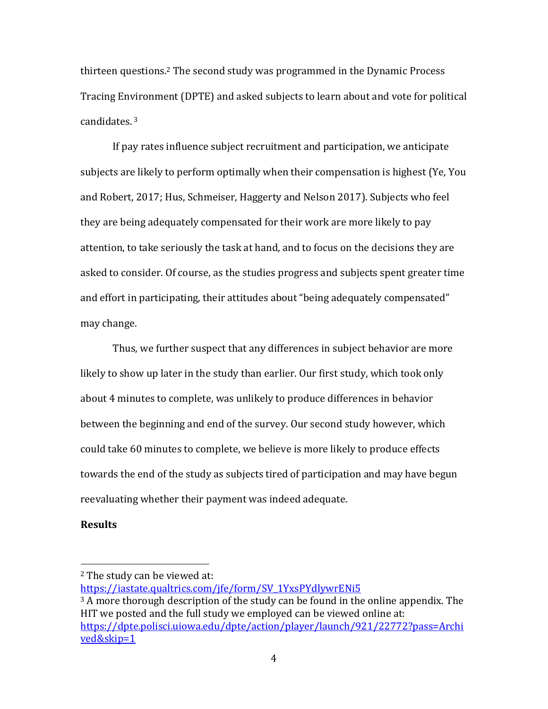thirteen questions. <sup>2</sup> The second study was programmed in the Dynamic Process Tracing Environment (DPTE) and asked subjects to learn about and vote for political candidates. <sup>3</sup>

If pay rates influence subject recruitment and participation, we anticipate subjects are likely to perform optimally when their compensation is highest (Ye, You and Robert, 2017; Hus, Schmeiser, Haggerty and Nelson 2017). Subjects who feel they are being adequately compensated for their work are more likely to pay attention, to take seriously the task at hand, and to focus on the decisions they are asked to consider. Of course, as the studies progress and subjects spent greater time and effort in participating, their attitudes about "being adequately compensated" may change.

Thus, we further suspect that any differences in subject behavior are more likely to show up later in the study than earlier. Our first study, which took only about 4 minutes to complete, was unlikely to produce differences in behavior between the beginning and end of the survey. Our second study however, which could take 60 minutes to complete, we believe is more likely to produce effects towards the end of the study as subjects tired of participation and may have begun reevaluating whether their payment was indeed adequate.

## **Results**

 $\overline{a}$ 

<sup>2</sup> The study can be viewed at:

[https://iastate.qualtrics.com/jfe/form/SV\\_1YxsPYdlywrENi5](https://iastate.qualtrics.com/jfe/form/SV_1YxsPYdlywrENi5)

<sup>&</sup>lt;sup>3</sup> A more thorough description of the study can be found in the online appendix. The HIT we posted and the full study we employed can be viewed online at: [https://dpte.polisci.uiowa.edu/dpte/action/player/launch/921/22772?pass=Archi](https://dpte.polisci.uiowa.edu/dpte/action/player/launch/921/22772?pass=Archived&skip=1) [ved&skip=1](https://dpte.polisci.uiowa.edu/dpte/action/player/launch/921/22772?pass=Archived&skip=1)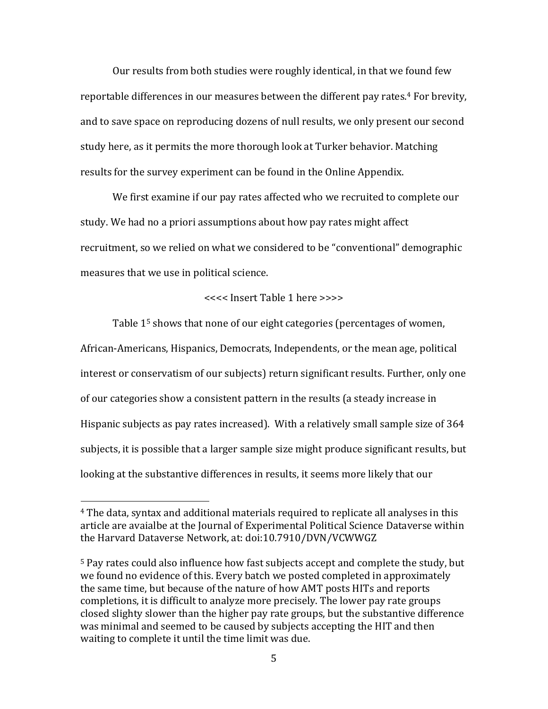Our results from both studies were roughly identical, in that we found few reportable differences in our measures between the different pay rates.<sup>4</sup> For brevity, and to save space on reproducing dozens of null results, we only present our second study here, as it permits the more thorough look at Turker behavior. Matching results for the survey experiment can be found in the Online Appendix.

We first examine if our pay rates affected who we recruited to complete our study. We had no a priori assumptions about how pay rates might affect recruitment, so we relied on what we considered to be "conventional" demographic measures that we use in political science.

# <<<< Insert Table 1 here >>>>

Table 1<sup>5</sup> shows that none of our eight categories (percentages of women, African-Americans, Hispanics, Democrats, Independents, or the mean age, political interest or conservatism of our subjects) return significant results. Further, only one of our categories show a consistent pattern in the results (a steady increase in Hispanic subjects as pay rates increased). With a relatively small sample size of 364 subjects, it is possible that a larger sample size might produce significant results, but looking at the substantive differences in results, it seems more likely that our

 $\overline{a}$ 

<sup>4</sup> The data, syntax and additional materials required to replicate all analyses in this article are avaialbe at the Journal of Experimental Political Science Dataverse within the Harvard Dataverse Network, at: doi:10.7910/DVN/VCWWGZ

<sup>5</sup> Pay rates could also influence how fast subjects accept and complete the study, but we found no evidence of this. Every batch we posted completed in approximately the same time, but because of the nature of how AMT posts HITs and reports completions, it is difficult to analyze more precisely. The lower pay rate groups closed slighty slower than the higher pay rate groups, but the substantive difference was minimal and seemed to be caused by subjects accepting the HIT and then waiting to complete it until the time limit was due.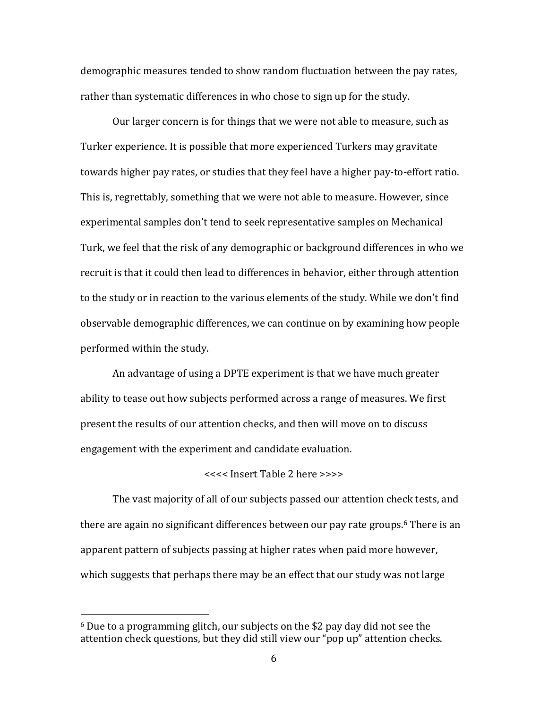demographic measures tended to show random fluctuation between the pay rates, rather than systematic differences in who chose to sign up for the study.

Our larger concern is for things that we were not able to measure, such as Turker experience. It is possible that more experienced Turkers may gravitate towards higher pay rates, or studies that they feel have a higher pay-to-effort ratio. This is, regrettably, something that we were not able to measure. However, since experimental samples don't tend to seek representative samples on Mechanical Turk, we feel that the risk of any demographic or background differences in who we recruit is that it could then lead to differences in behavior, either through attention to the study or in reaction to the various elements of the study. While we don't find observable demographic differences, we can continue on by examining how people performed within the study.

An advantage of using a DPTE experiment is that we have much greater ability to tease out how subjects performed across a range of measures. We first present the results of our attention checks, and then will move on to discuss engagement with the experiment and candidate evaluation.

# <<<< Insert Table 2 here >>>>

The vast majority of all of our subjects passed our attention check tests, and there are again no significant differences between our pay rate groups.<sup>6</sup> There is an apparent pattern of subjects passing at higher rates when paid more however, which suggests that perhaps there may be an effect that our study was not large

 $\overline{\phantom{a}}$ 

<sup>6</sup> Due to a programming glitch, our subjects on the \$2 pay day did not see the attention check questions, but they did still view our "pop up" attention checks.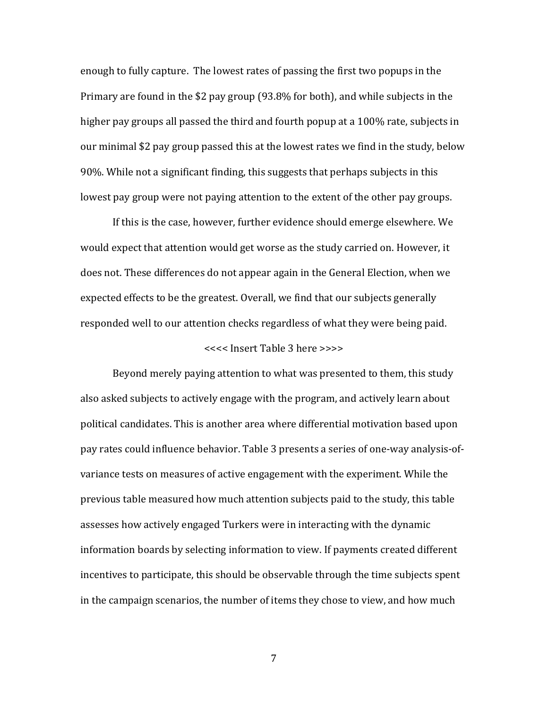enough to fully capture. The lowest rates of passing the first two popups in the Primary are found in the \$2 pay group (93.8% for both), and while subjects in the higher pay groups all passed the third and fourth popup at a 100% rate, subjects in our minimal \$2 pay group passed this at the lowest rates we find in the study, below 90%. While not a significant finding, this suggests that perhaps subjects in this lowest pay group were not paying attention to the extent of the other pay groups.

If this is the case, however, further evidence should emerge elsewhere. We would expect that attention would get worse as the study carried on. However, it does not. These differences do not appear again in the General Election, when we expected effects to be the greatest. Overall, we find that our subjects generally responded well to our attention checks regardless of what they were being paid.

#### <<<< Insert Table 3 here >>>>

Beyond merely paying attention to what was presented to them, this study also asked subjects to actively engage with the program, and actively learn about political candidates. This is another area where differential motivation based upon pay rates could influence behavior. Table 3 presents a series of one-way analysis-ofvariance tests on measures of active engagement with the experiment. While the previous table measured how much attention subjects paid to the study, this table assesses how actively engaged Turkers were in interacting with the dynamic information boards by selecting information to view. If payments created different incentives to participate, this should be observable through the time subjects spent in the campaign scenarios, the number of items they chose to view, and how much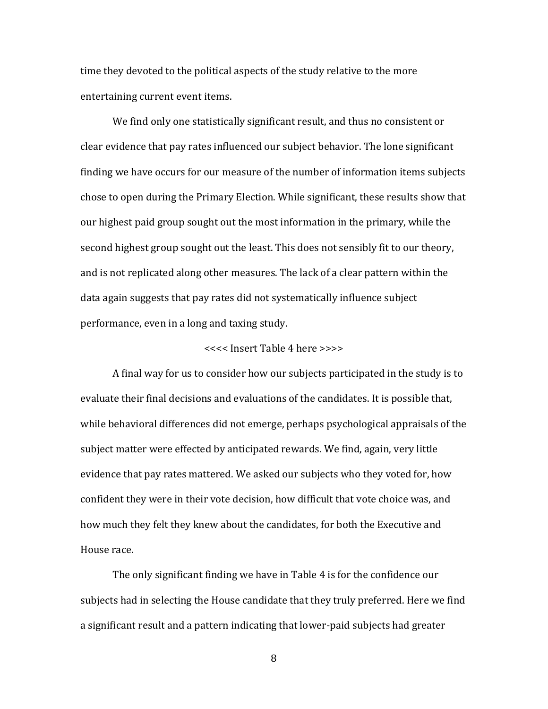time they devoted to the political aspects of the study relative to the more entertaining current event items.

We find only one statistically significant result, and thus no consistent or clear evidence that pay rates influenced our subject behavior. The lone significant finding we have occurs for our measure of the number of information items subjects chose to open during the Primary Election. While significant, these results show that our highest paid group sought out the most information in the primary, while the second highest group sought out the least. This does not sensibly fit to our theory, and is not replicated along other measures. The lack of a clear pattern within the data again suggests that pay rates did not systematically influence subject performance, even in a long and taxing study.

#### <<<< Insert Table 4 here >>>>

A final way for us to consider how our subjects participated in the study is to evaluate their final decisions and evaluations of the candidates. It is possible that, while behavioral differences did not emerge, perhaps psychological appraisals of the subject matter were effected by anticipated rewards. We find, again, very little evidence that pay rates mattered. We asked our subjects who they voted for, how confident they were in their vote decision, how difficult that vote choice was, and how much they felt they knew about the candidates, for both the Executive and House race.

The only significant finding we have in Table 4 is for the confidence our subjects had in selecting the House candidate that they truly preferred. Here we find a significant result and a pattern indicating that lower-paid subjects had greater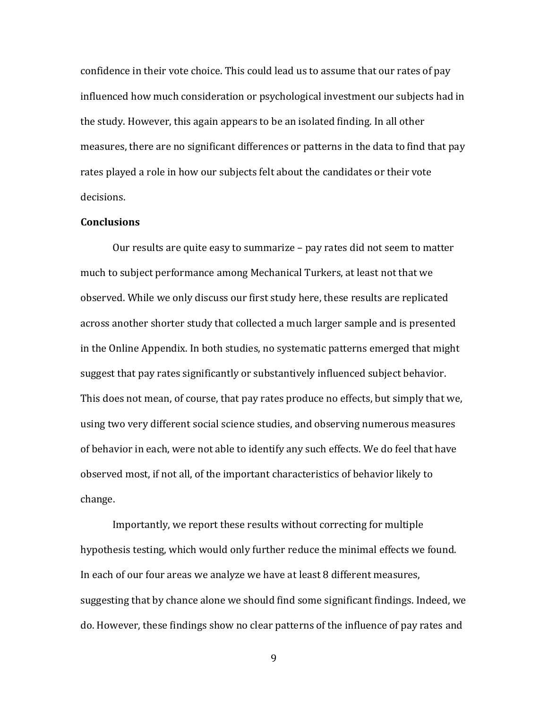confidence in their vote choice. This could lead us to assume that our rates of pay influenced how much consideration or psychological investment our subjects had in the study. However, this again appears to be an isolated finding. In all other measures, there are no significant differences or patterns in the data to find that pay rates played a role in how our subjects felt about the candidates or their vote decisions.

#### **Conclusions**

Our results are quite easy to summarize – pay rates did not seem to matter much to subject performance among Mechanical Turkers, at least not that we observed. While we only discuss our first study here, these results are replicated across another shorter study that collected a much larger sample and is presented in the Online Appendix. In both studies, no systematic patterns emerged that might suggest that pay rates significantly or substantively influenced subject behavior. This does not mean, of course, that pay rates produce no effects, but simply that we, using two very different social science studies, and observing numerous measures of behavior in each, were not able to identify any such effects. We do feel that have observed most, if not all, of the important characteristics of behavior likely to change.

Importantly, we report these results without correcting for multiple hypothesis testing, which would only further reduce the minimal effects we found. In each of our four areas we analyze we have at least 8 different measures, suggesting that by chance alone we should find some significant findings. Indeed, we do. However, these findings show no clear patterns of the influence of pay rates and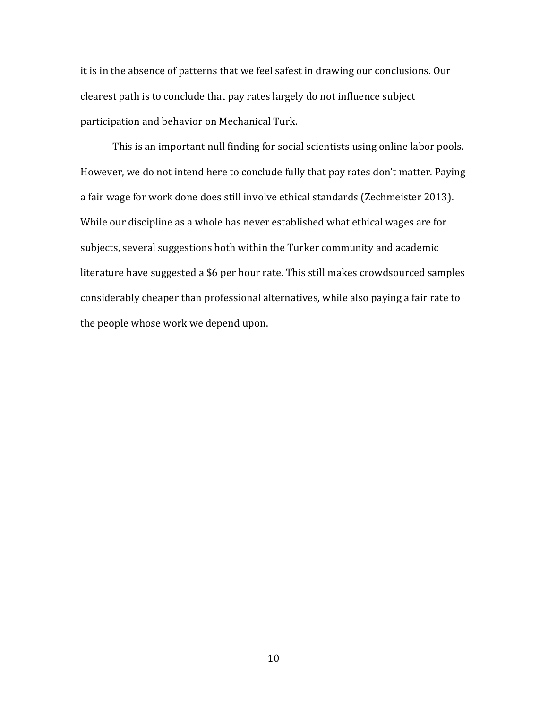it is in the absence of patterns that we feel safest in drawing our conclusions. Our clearest path is to conclude that pay rates largely do not influence subject participation and behavior on Mechanical Turk.

This is an important null finding for social scientists using online labor pools. However, we do not intend here to conclude fully that pay rates don't matter. Paying a fair wage for work done does still involve ethical standards (Zechmeister 2013). While our discipline as a whole has never established what ethical wages are for subjects, several suggestions both within the Turker community and academic literature have suggested a \$6 per hour rate. This still makes crowdsourced samples considerably cheaper than professional alternatives, while also paying a fair rate to the people whose work we depend upon.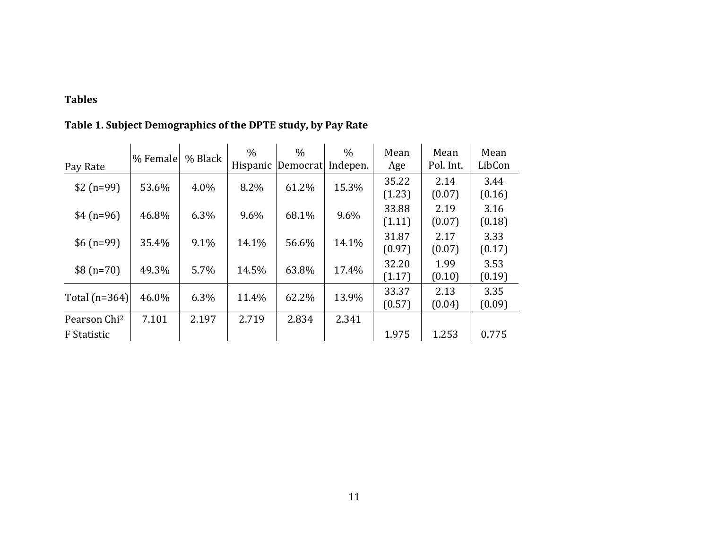# **Tables**

| Pay Rate                 | % Female | % Black | $\frac{0}{0}$ | $\%$<br>Hispanic Democrat | $\%$<br>Indepen. | Mean<br>Age     | Mean<br>Pol. Int. | Mean<br>LibCon |
|--------------------------|----------|---------|---------------|---------------------------|------------------|-----------------|-------------------|----------------|
| $$2(n=99)$               | 53.6%    | 4.0%    | 8.2%          | 61.2%                     | 15.3%            | 35.22<br>(1.23) | 2.14<br>(0.07)    | 3.44<br>(0.16) |
| $$4(n=96)$               | 46.8%    | 6.3%    | 9.6%          | 68.1%                     | 9.6%             | 33.88<br>(1.11) | 2.19<br>(0.07)    | 3.16<br>(0.18) |
| $$6(n=99)$               | 35.4%    | 9.1%    | 14.1%         | 56.6%                     | 14.1%            | 31.87<br>(0.97) | 2.17<br>(0.07)    | 3.33<br>(0.17) |
| $$8(n=70)$               | 49.3%    | 5.7%    | 14.5%         | 63.8%                     | 17.4%            | 32.20<br>(1.17) | 1.99<br>(0.10)    | 3.53<br>(0.19) |
| Total $(n=364)$          | 46.0%    | 6.3%    | 11.4%         | 62.2%                     | 13.9%            | 33.37<br>(0.57) | 2.13<br>(0.04)    | 3.35<br>(0.09) |
| Pearson Chi <sup>2</sup> | 7.101    | 2.197   | 2.719         | 2.834                     | 2.341            |                 |                   |                |
| F Statistic              |          |         |               |                           |                  | 1.975           | 1.253             | 0.775          |

# **Table 1. Subject Demographics of the DPTE study, by Pay Rate**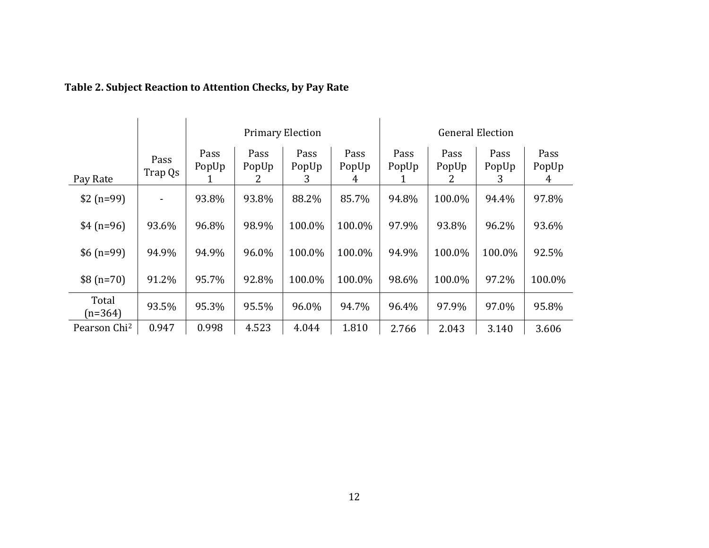|                          |                          |                    |                    | <b>Primary Election</b> |                    | <b>General Election</b> |                    |                    |                    |
|--------------------------|--------------------------|--------------------|--------------------|-------------------------|--------------------|-------------------------|--------------------|--------------------|--------------------|
| Pay Rate                 | Pass<br>Trap Qs          | Pass<br>PopUp<br>1 | Pass<br>PopUp<br>2 | Pass<br>PopUp<br>3      | Pass<br>PopUp<br>4 | Pass<br>PopUp           | Pass<br>PopUp<br>Z | Pass<br>PopUp<br>3 | Pass<br>PopUp<br>4 |
| $$2(n=99)$               | $\overline{\phantom{a}}$ | 93.8%              | 93.8%              | 88.2%                   | 85.7%              | 94.8%                   | 100.0%             | 94.4%              | 97.8%              |
| $$4(n=96)$               | 93.6%                    | 96.8%              | 98.9%              | 100.0%                  | 100.0%             | 97.9%                   | 93.8%              | 96.2%              | 93.6%              |
| $$6(n=99)$               | 94.9%                    | 94.9%              | 96.0%              | 100.0%                  | 100.0%             | 94.9%                   | 100.0%             | 100.0%             | 92.5%              |
| $$8(n=70)$               | 91.2%                    | 95.7%              | 92.8%              | 100.0%                  | 100.0%             | 98.6%                   | 100.0%             | 97.2%              | 100.0%             |
| Total<br>$(n=364)$       | 93.5%                    | 95.3%              | 95.5%              | 96.0%                   | 94.7%              | 96.4%                   | 97.9%              | 97.0%              | 95.8%              |
| Pearson Chi <sup>2</sup> | 0.947                    | 0.998              | 4.523              | 4.044                   | 1.810              | 2.766                   | 2.043              | 3.140              | 3.606              |

# **Table 2. Subject Reaction to Attention Checks, by Pay Rate**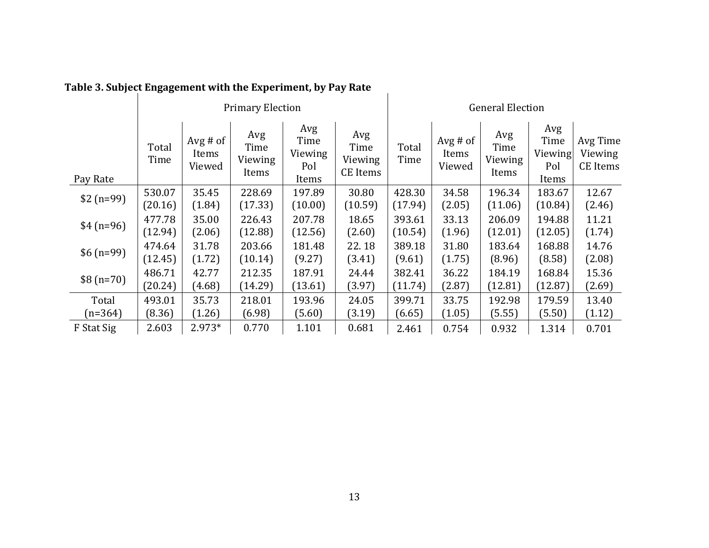| rable 5. Subject Engagement with the Experiment, by Fay Nate |               |                             |                                 |                                        |                                    |               |                                |                                 |                                        |                                 |
|--------------------------------------------------------------|---------------|-----------------------------|---------------------------------|----------------------------------------|------------------------------------|---------------|--------------------------------|---------------------------------|----------------------------------------|---------------------------------|
|                                                              |               |                             | <b>Primary Election</b>         |                                        | <b>General Election</b>            |               |                                |                                 |                                        |                                 |
| Pay Rate                                                     | Total<br>Time | Avg # of<br>Items<br>Viewed | Avg<br>Time<br>Viewing<br>Items | Avg<br>Time<br>Viewing<br>Pol<br>Items | Avg<br>Time<br>Viewing<br>CE Items | Total<br>Time | $Avg \# of$<br>Items<br>Viewed | Avg<br>Time<br>Viewing<br>Items | Avg<br>Time<br>Viewing<br>Pol<br>Items | Avg Time<br>Viewing<br>CE Items |
| $$2(n=99)$                                                   | 530.07        | 35.45                       | 228.69                          | 197.89                                 | 30.80                              | 428.30        | 34.58                          | 196.34                          | 183.67                                 | 12.67                           |
|                                                              | (20.16)       | (1.84)                      | (17.33)                         | (10.00)                                | (10.59)                            | (17.94)       | (2.05)                         | (11.06)                         | (10.84)                                | (2.46)                          |
| $$4(n=96)$                                                   | 477.78        | 35.00                       | 226.43                          | 207.78                                 | 18.65                              | 393.61        | 33.13                          | 206.09                          | 194.88                                 | 11.21                           |
|                                                              | (12.94)       | (2.06)                      | (12.88)                         | (12.56)                                | (2.60)                             | (10.54)       | (1.96)                         | (12.01)                         | (12.05)                                | (1.74)                          |
| $$6(n=99)$                                                   | 474.64        | 31.78                       | 203.66                          | 181.48                                 | 22.18                              | 389.18        | 31.80                          | 183.64                          | 168.88                                 | 14.76                           |
|                                                              | (12.45)       | (1.72)                      | (10.14)                         | (9.27)                                 | (3.41)                             | (9.61)        | (1.75)                         | (8.96)                          | (8.58)                                 | (2.08)                          |
| $$8(n=70)$                                                   | 486.71        | 42.77                       | 212.35                          | 187.91                                 | 24.44                              | 382.41        | 36.22                          | 184.19                          | 168.84                                 | 15.36                           |
|                                                              | (20.24)       | (4.68)                      | (14.29)                         | (13.61)                                | (3.97)                             | (11.74)       | (2.87)                         | (12.81)                         | (12.87)                                | (2.69)                          |
| Total                                                        | 493.01        | 35.73                       | 218.01                          | 193.96                                 | 24.05                              | 399.71        | 33.75                          | 192.98                          | 179.59                                 | 13.40                           |
| $(n=364)$                                                    | (8.36)        | (1.26)                      | (6.98)                          | (5.60)                                 | (3.19)                             | (6.65)        | (1.05)                         | (5.55)                          | (5.50)                                 | (1.12)                          |
| F Stat Sig                                                   | 2.603         | 2.973*                      | 0.770                           | 1.101                                  | 0.681                              | 2.461         | 0.754                          | 0.932                           | 1.314                                  | 0.701                           |

# **Table 3. Subject Engagement with the Experiment, by Pay Rate**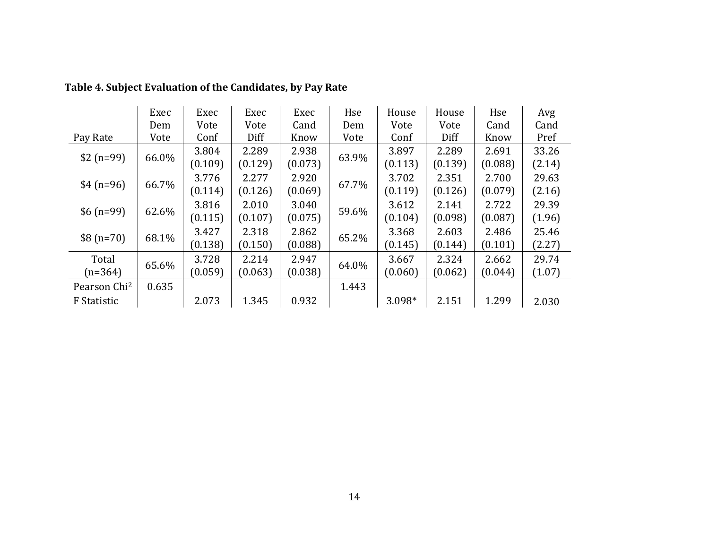|                          | Exec  | Exec             | Exec             | Exec             | Hse   | House            | House            | Hse              | Avg             |
|--------------------------|-------|------------------|------------------|------------------|-------|------------------|------------------|------------------|-----------------|
|                          | Dem   | Vote             | Vote             | Cand             | Dem   | Vote             | Vote             | Cand             | Cand            |
| Pay Rate                 | Vote  | Conf             | Diff             | Know             | Vote  | Conf             | Diff             | Know             | Pref            |
| $$2(n=99)$               | 66.0% | 3.804<br>(0.109) | 2.289<br>(0.129) | 2.938<br>(0.073) | 63.9% | 3.897<br>(0.113) | 2.289<br>(0.139) | 2.691<br>(0.088) | 33.26<br>(2.14) |
| $$4(n=96)$               | 66.7% | 3.776<br>(0.114) | 2.277<br>(0.126) | 2.920<br>(0.069) | 67.7% | 3.702<br>(0.119) | 2.351<br>(0.126) | 2.700<br>(0.079) | 29.63<br>(2.16) |
| $$6(n=99)$               | 62.6% | 3.816<br>(0.115) | 2.010<br>(0.107) | 3.040<br>(0.075) | 59.6% | 3.612<br>(0.104) | 2.141<br>(0.098) | 2.722<br>(0.087) | 29.39<br>(1.96) |
| $$8(n=70)$               | 68.1% | 3.427<br>(0.138) | 2.318<br>(0.150) | 2.862<br>(0.088) | 65.2% | 3.368<br>(0.145) | 2.603<br>(0.144) | 2.486<br>(0.101) | 25.46<br>(2.27) |
| Total<br>$(n=364)$       | 65.6% | 3.728<br>(0.059) | 2.214<br>(0.063) | 2.947<br>(0.038) | 64.0% | 3.667<br>(0.060) | 2.324<br>(0.062) | 2.662<br>(0.044) | 29.74<br>(1.07) |
| Pearson Chi <sup>2</sup> | 0.635 |                  |                  |                  | 1.443 |                  |                  |                  |                 |
| F Statistic              |       | 2.073            | 1.345            | 0.932            |       | 3.098*           | 2.151            | 1.299            | 2.030           |

**Table 4. Subject Evaluation of the Candidates, by Pay Rate**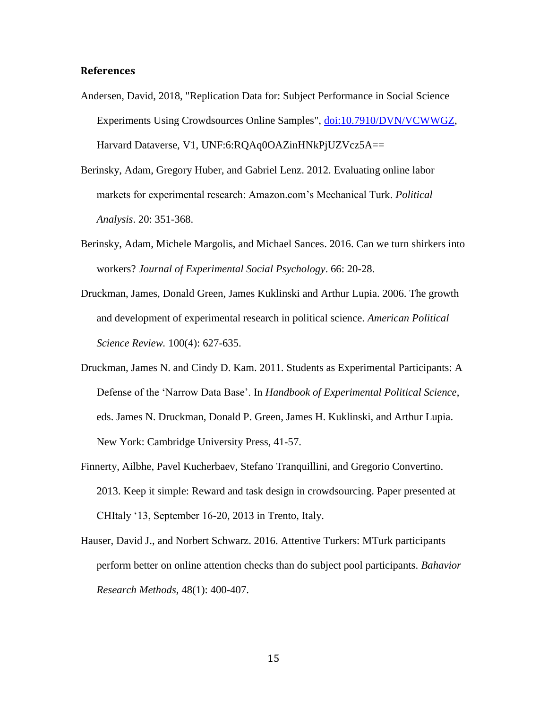#### **References**

- Andersen, David, 2018, "Replication Data for: Subject Performance in Social Science Experiments Using Crowdsources Online Samples", [doi:10.7910/DVN/VCWWGZ,](http://dx.doi.org/10.7910/DVN/VCWWGZ) Harvard Dataverse, V1, UNF:6:RQAq0OAZinHNkPjUZVcz5A==
- Berinsky, Adam, Gregory Huber, and Gabriel Lenz. 2012. Evaluating online labor markets for experimental research: Amazon.com's Mechanical Turk. *Political Analysis*. 20: 351-368.
- Berinsky, Adam, Michele Margolis, and Michael Sances. 2016. Can we turn shirkers into workers? *Journal of Experimental Social Psychology*. 66: 20-28.
- Druckman, James, Donald Green, James Kuklinski and Arthur Lupia. 2006. The growth and development of experimental research in political science. *American Political Science Review.* 100(4): 627-635.
- Druckman, James N. and Cindy D. Kam. 2011. Students as Experimental Participants: A Defense of the 'Narrow Data Base'. In *Handbook of Experimental Political Science*, eds. James N. Druckman, Donald P. Green, James H. Kuklinski, and Arthur Lupia. New York: Cambridge University Press, 41‐57.
- Finnerty, Ailbhe, Pavel Kucherbaev, Stefano Tranquillini, and Gregorio Convertino. 2013. Keep it simple: Reward and task design in crowdsourcing. Paper presented at CHItaly '13, September 16-20, 2013 in Trento, Italy.
- Hauser, David J., and Norbert Schwarz. 2016. Attentive Turkers: MTurk participants perform better on online attention checks than do subject pool participants. *Bahavior Research Methods,* 48(1): 400-407.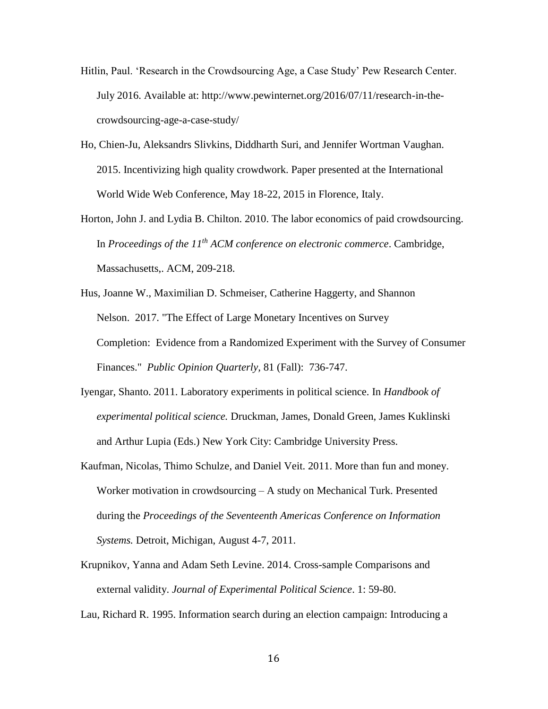- Hitlin, Paul. 'Research in the Crowdsourcing Age, a Case Study' Pew Research Center. July 2016. Available at: http://www.pewinternet.org/2016/07/11/research-in-thecrowdsourcing-age-a-case-study/
- Ho, Chien-Ju, Aleksandrs Slivkins, Diddharth Suri, and Jennifer Wortman Vaughan. 2015. Incentivizing high quality crowdwork. Paper presented at the International World Wide Web Conference, May 18-22, 2015 in Florence, Italy.
- Horton, John J. and Lydia B. Chilton. 2010. The labor economics of paid crowdsourcing. In *Proceedings of the 11th ACM conference on electronic commerce*. Cambridge, Massachusetts,. ACM, 209-218.
- Hus, Joanne W., Maximilian D. Schmeiser, Catherine Haggerty, and Shannon Nelson. 2017. "The Effect of Large Monetary Incentives on Survey Completion: Evidence from a Randomized Experiment with the Survey of Consumer Finances." *Public Opinion Quarterly,* 81 (Fall): 736-747.
- Iyengar, Shanto. 2011. Laboratory experiments in political science. In *Handbook of experimental political science.* Druckman, James, Donald Green, James Kuklinski and Arthur Lupia (Eds.) New York City: Cambridge University Press.
- Kaufman, Nicolas, Thimo Schulze, and Daniel Veit. 2011. More than fun and money. Worker motivation in crowdsourcing – A study on Mechanical Turk. Presented during the *Proceedings of the Seventeenth Americas Conference on Information Systems.* Detroit, Michigan, August 4-7, 2011.
- Krupnikov, Yanna and Adam Seth Levine. 2014. Cross-sample Comparisons and external validity. *Journal of Experimental Political Science*. 1: 59-80.
- Lau, Richard R. 1995. Information search during an election campaign: Introducing a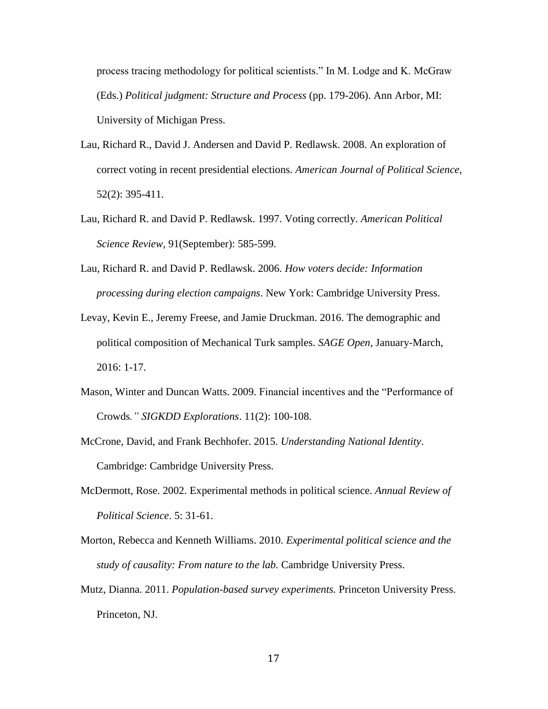process tracing methodology for political scientists." In M. Lodge and K. McGraw (Eds.) *Political judgment: Structure and Process* (pp. 179-206). Ann Arbor, MI: University of Michigan Press.

- Lau, Richard R., David J. Andersen and David P. Redlawsk. 2008. An exploration of correct voting in recent presidential elections. *American Journal of Political Science,*  52(2): 395-411.
- Lau, Richard R. and David P. Redlawsk. 1997. Voting correctly. *American Political Science Review,* 91(September): 585-599.
- Lau, Richard R. and David P. Redlawsk. 2006. *How voters decide: Information processing during election campaigns*. New York: Cambridge University Press.
- Levay, Kevin E., Jeremy Freese, and Jamie Druckman. 2016. The demographic and political composition of Mechanical Turk samples. *SAGE Open,* January-March, 2016: 1-17.
- Mason, Winter and Duncan Watts. 2009. Financial incentives and the "Performance of Crowds*." SIGKDD Explorations*. 11(2): 100-108.
- McCrone, David, and Frank Bechhofer. 2015. *Understanding National Identity*. Cambridge: Cambridge University Press.
- McDermott, Rose. 2002. Experimental methods in political science. *Annual Review of Political Science*. 5: 31-61.
- Morton, Rebecca and Kenneth Williams. 2010. *Experimental political science and the study of causality: From nature to the lab.* Cambridge University Press.
- Mutz, Dianna. 2011. *Population-based survey experiments.* Princeton University Press. Princeton, NJ.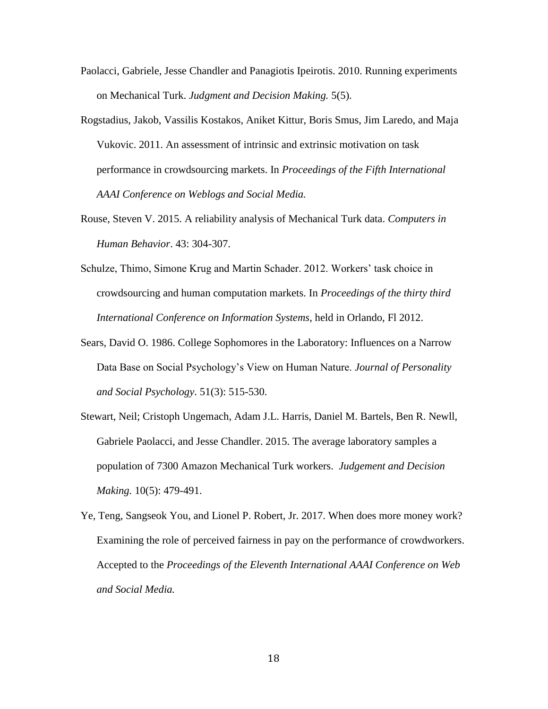- Paolacci, Gabriele, Jesse Chandler and Panagiotis Ipeirotis. 2010. Running experiments on Mechanical Turk. *Judgment and Decision Making.* 5(5).
- Rogstadius, Jakob, Vassilis Kostakos, Aniket Kittur, Boris Smus, Jim Laredo, and Maja Vukovic. 2011. An assessment of intrinsic and extrinsic motivation on task performance in crowdsourcing markets. In *Proceedings of the Fifth International AAAI Conference on Weblogs and Social Media.*
- Rouse, Steven V. 2015. A reliability analysis of Mechanical Turk data. *Computers in Human Behavior*. 43: 304-307.
- Schulze, Thimo, Simone Krug and Martin Schader. 2012. Workers' task choice in crowdsourcing and human computation markets. In *Proceedings of the thirty third International Conference on Information Systems*, held in Orlando, Fl 2012.
- Sears, David O. 1986. College Sophomores in the Laboratory: Influences on a Narrow Data Base on Social Psychology's View on Human Nature. *Journal of Personality and Social Psychology*. 51(3): 515-530.
- Stewart, Neil; Cristoph Ungemach, Adam J.L. Harris, Daniel M. Bartels, Ben R. Newll, Gabriele Paolacci, and Jesse Chandler. 2015. The average laboratory samples a population of 7300 Amazon Mechanical Turk workers. *Judgement and Decision Making.* 10(5): 479-491.
- Ye, Teng, Sangseok You, and Lionel P. Robert, Jr. 2017. When does more money work? Examining the role of perceived fairness in pay on the performance of crowdworkers. Accepted to the *Proceedings of the Eleventh International AAAI Conference on Web and Social Media.*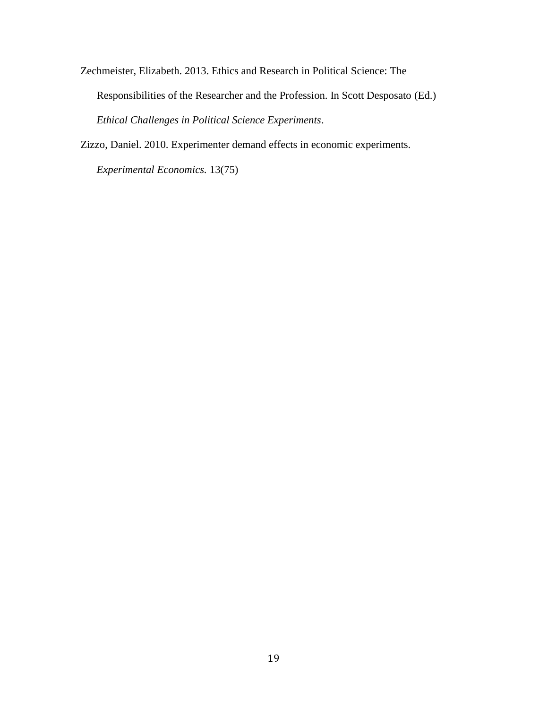Zechmeister, Elizabeth. 2013. Ethics and Research in Political Science: The Responsibilities of the Researcher and the Profession. In Scott Desposato (Ed.) *Ethical Challenges in Political Science Experiments*.

Zizzo, Daniel. 2010. Experimenter demand effects in economic experiments.

*Experimental Economics.* 13(75)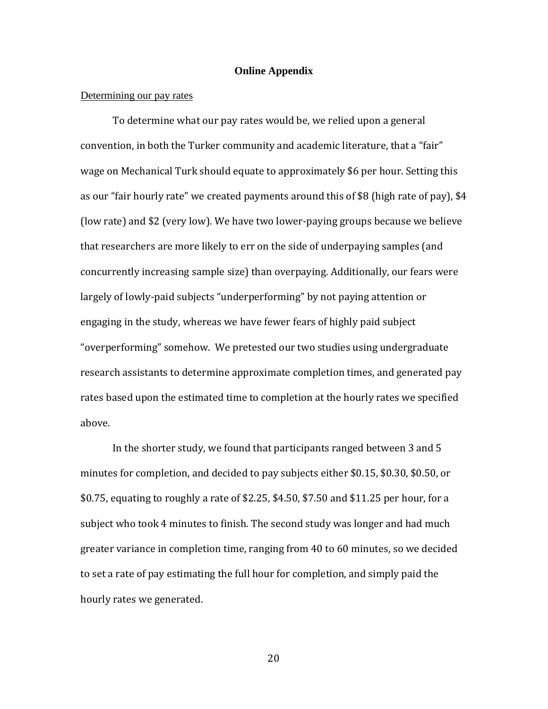#### **Online Appendix**

#### Determining our pay rates

To determine what our pay rates would be, we relied upon a general convention, in both the Turker community and academic literature, that a "fair" wage on Mechanical Turk should equate to approximately \$6 per hour. Setting this as our "fair hourly rate" we created payments around this of \$8 (high rate of pay), \$4 (low rate) and \$2 (very low). We have two lower-paying groups because we believe that researchers are more likely to err on the side of underpaying samples (and concurrently increasing sample size) than overpaying. Additionally, our fears were largely of lowly-paid subjects "underperforming" by not paying attention or engaging in the study, whereas we have fewer fears of highly paid subject "overperforming" somehow. We pretested our two studies using undergraduate research assistants to determine approximate completion times, and generated pay rates based upon the estimated time to completion at the hourly rates we specified above.

In the shorter study, we found that participants ranged between 3 and 5 minutes for completion, and decided to pay subjects either \$0.15, \$0.30, \$0.50, or \$0.75, equating to roughly a rate of \$2.25, \$4.50, \$7.50 and \$11.25 per hour, for a subject who took 4 minutes to finish. The second study was longer and had much greater variance in completion time, ranging from 40 to 60 minutes, so we decided to set a rate of pay estimating the full hour for completion, and simply paid the hourly rates we generated.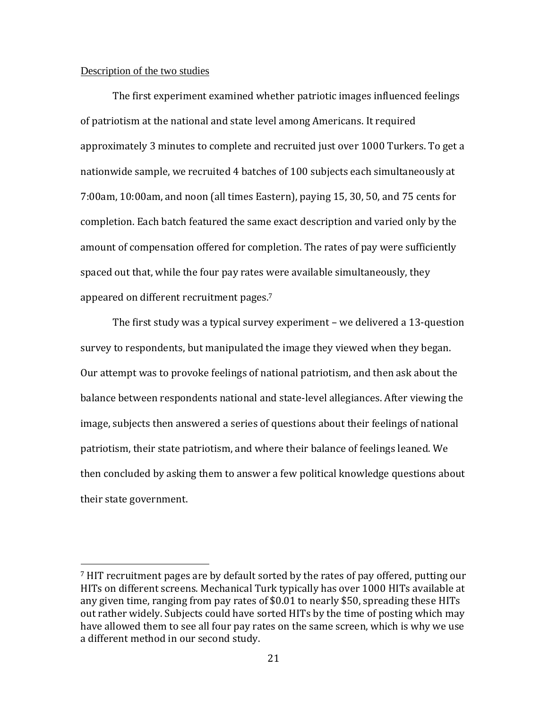#### Description of the two studies

 $\overline{\phantom{a}}$ 

The first experiment examined whether patriotic images influenced feelings of patriotism at the national and state level among Americans. It required approximately 3 minutes to complete and recruited just over 1000 Turkers. To get a nationwide sample, we recruited 4 batches of 100 subjects each simultaneously at 7:00am, 10:00am, and noon (all times Eastern), paying 15, 30, 50, and 75 cents for completion. Each batch featured the same exact description and varied only by the amount of compensation offered for completion. The rates of pay were sufficiently spaced out that, while the four pay rates were available simultaneously, they appeared on different recruitment pages.<sup>7</sup>

The first study was a typical survey experiment – we delivered a 13-question survey to respondents, but manipulated the image they viewed when they began. Our attempt was to provoke feelings of national patriotism, and then ask about the balance between respondents national and state-level allegiances. After viewing the image, subjects then answered a series of questions about their feelings of national patriotism, their state patriotism, and where their balance of feelings leaned. We then concluded by asking them to answer a few political knowledge questions about their state government.

<sup>7</sup> HIT recruitment pages are by default sorted by the rates of pay offered, putting our HITs on different screens. Mechanical Turk typically has over 1000 HITs available at any given time, ranging from pay rates of \$0.01 to nearly \$50, spreading these HITs out rather widely. Subjects could have sorted HITs by the time of posting which may have allowed them to see all four pay rates on the same screen, which is why we use a different method in our second study.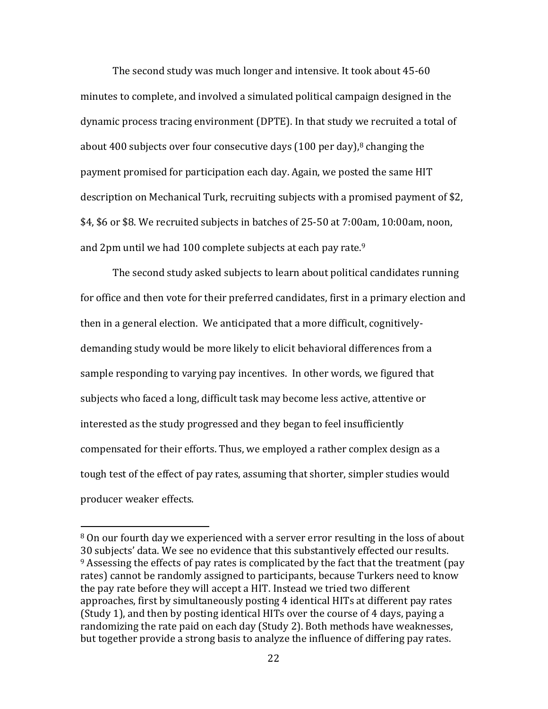The second study was much longer and intensive. It took about 45-60 minutes to complete, and involved a simulated political campaign designed in the dynamic process tracing environment (DPTE). In that study we recruited a total of about 400 subjects over four consecutive days  $(100 \text{ per day})$ ,<sup>8</sup> changing the payment promised for participation each day. Again, we posted the same HIT description on Mechanical Turk, recruiting subjects with a promised payment of \$2, \$4, \$6 or \$8. We recruited subjects in batches of 25-50 at 7:00am, 10:00am, noon, and 2pm until we had 100 complete subjects at each pay rate.<sup>9</sup>

The second study asked subjects to learn about political candidates running for office and then vote for their preferred candidates, first in a primary election and then in a general election. We anticipated that a more difficult, cognitivelydemanding study would be more likely to elicit behavioral differences from a sample responding to varying pay incentives. In other words, we figured that subjects who faced a long, difficult task may become less active, attentive or interested as the study progressed and they began to feel insufficiently compensated for their efforts. Thus, we employed a rather complex design as a tough test of the effect of pay rates, assuming that shorter, simpler studies would producer weaker effects.

 $\overline{\phantom{a}}$ 

<sup>8</sup> On our fourth day we experienced with a server error resulting in the loss of about 30 subjects' data. We see no evidence that this substantively effected our results.  $9$  Assessing the effects of pay rates is complicated by the fact that the treatment (pay rates) cannot be randomly assigned to participants, because Turkers need to know the pay rate before they will accept a HIT. Instead we tried two different approaches, first by simultaneously posting 4 identical HITs at different pay rates (Study 1), and then by posting identical HITs over the course of 4 days, paying a randomizing the rate paid on each day (Study 2). Both methods have weaknesses, but together provide a strong basis to analyze the influence of differing pay rates.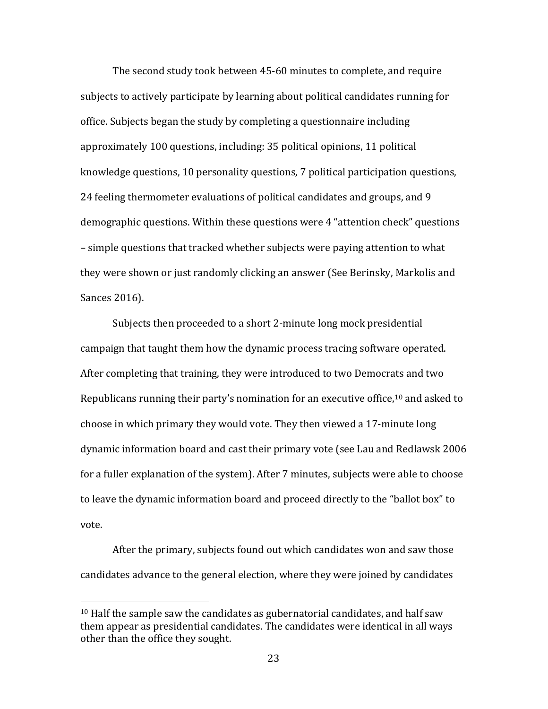The second study took between 45-60 minutes to complete, and require subjects to actively participate by learning about political candidates running for office. Subjects began the study by completing a questionnaire including approximately 100 questions, including: 35 political opinions, 11 political knowledge questions, 10 personality questions, 7 political participation questions, 24 feeling thermometer evaluations of political candidates and groups, and 9 demographic questions. Within these questions were 4 "attention check" questions – simple questions that tracked whether subjects were paying attention to what they were shown or just randomly clicking an answer (See Berinsky, Markolis and Sances 2016).

Subjects then proceeded to a short 2-minute long mock presidential campaign that taught them how the dynamic process tracing software operated. After completing that training, they were introduced to two Democrats and two Republicans running their party's nomination for an executive office,<sup>10</sup> and asked to choose in which primary they would vote. They then viewed a 17-minute long dynamic information board and cast their primary vote (see Lau and Redlawsk 2006 for a fuller explanation of the system). After 7 minutes, subjects were able to choose to leave the dynamic information board and proceed directly to the "ballot box" to vote.

After the primary, subjects found out which candidates won and saw those candidates advance to the general election, where they were joined by candidates

 $\overline{\phantom{a}}$ 

<sup>10</sup> Half the sample saw the candidates as gubernatorial candidates, and half saw them appear as presidential candidates. The candidates were identical in all ways other than the office they sought.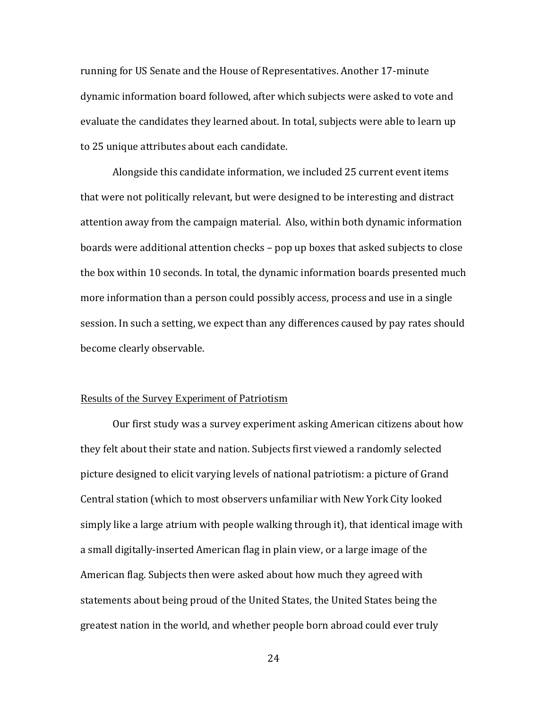running for US Senate and the House of Representatives. Another 17-minute dynamic information board followed, after which subjects were asked to vote and evaluate the candidates they learned about. In total, subjects were able to learn up to 25 unique attributes about each candidate.

Alongside this candidate information, we included 25 current event items that were not politically relevant, but were designed to be interesting and distract attention away from the campaign material. Also, within both dynamic information boards were additional attention checks – pop up boxes that asked subjects to close the box within 10 seconds. In total, the dynamic information boards presented much more information than a person could possibly access, process and use in a single session. In such a setting, we expect than any differences caused by pay rates should become clearly observable.

## Results of the Survey Experiment of Patriotism

Our first study was a survey experiment asking American citizens about how they felt about their state and nation. Subjects first viewed a randomly selected picture designed to elicit varying levels of national patriotism: a picture of Grand Central station (which to most observers unfamiliar with New York City looked simply like a large atrium with people walking through it), that identical image with a small digitally-inserted American flag in plain view, or a large image of the American flag. Subjects then were asked about how much they agreed with statements about being proud of the United States, the United States being the greatest nation in the world, and whether people born abroad could ever truly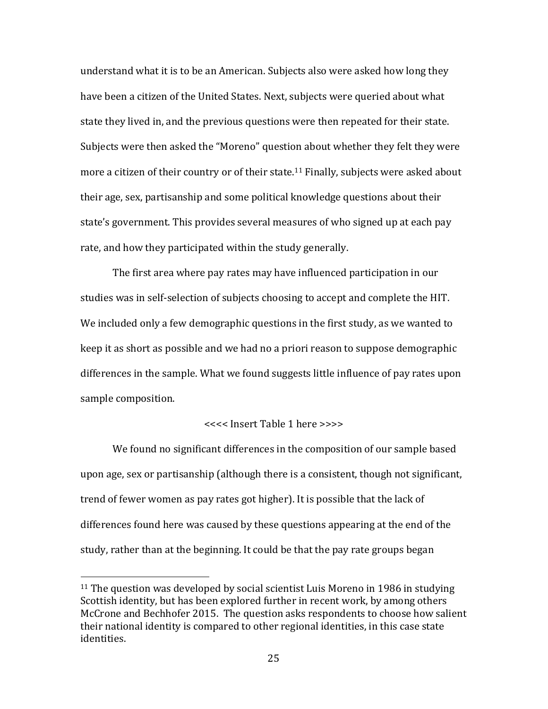understand what it is to be an American. Subjects also were asked how long they have been a citizen of the United States. Next, subjects were queried about what state they lived in, and the previous questions were then repeated for their state. Subjects were then asked the "Moreno" question about whether they felt they were more a citizen of their country or of their state.<sup>11</sup> Finally, subjects were asked about their age, sex, partisanship and some political knowledge questions about their state's government. This provides several measures of who signed up at each pay rate, and how they participated within the study generally.

The first area where pay rates may have influenced participation in our studies was in self-selection of subjects choosing to accept and complete the HIT. We included only a few demographic questions in the first study, as we wanted to keep it as short as possible and we had no a priori reason to suppose demographic differences in the sample. What we found suggests little influence of pay rates upon sample composition.

# <<<< Insert Table 1 here >>>>

We found no significant differences in the composition of our sample based upon age, sex or partisanship (although there is a consistent, though not significant, trend of fewer women as pay rates got higher). It is possible that the lack of differences found here was caused by these questions appearing at the end of the study, rather than at the beginning. It could be that the pay rate groups began

l

<sup>&</sup>lt;sup>11</sup> The question was developed by social scientist Luis Moreno in 1986 in studying Scottish identity, but has been explored further in recent work, by among others McCrone and Bechhofer 2015. The question asks respondents to choose how salient their national identity is compared to other regional identities, in this case state identities.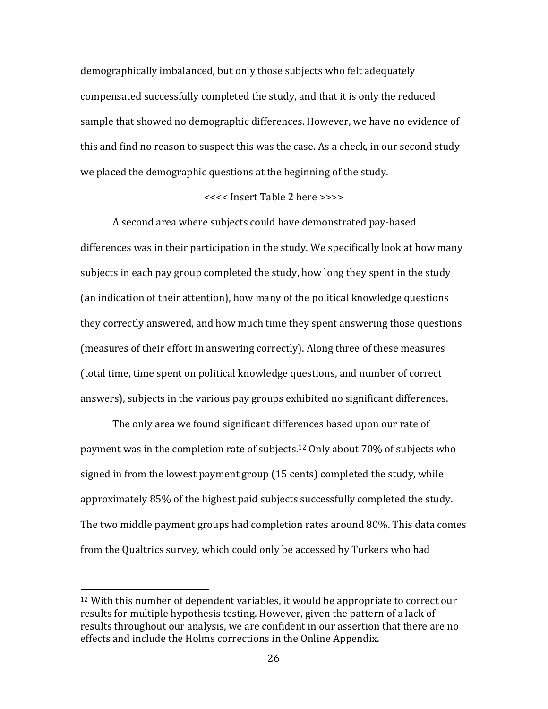demographically imbalanced, but only those subjects who felt adequately compensated successfully completed the study, and that it is only the reduced sample that showed no demographic differences. However, we have no evidence of this and find no reason to suspect this was the case. As a check, in our second study we placed the demographic questions at the beginning of the study.

# <<<< Insert Table 2 here >>>>

A second area where subjects could have demonstrated pay-based differences was in their participation in the study. We specifically look at how many subjects in each pay group completed the study, how long they spent in the study (an indication of their attention), how many of the political knowledge questions they correctly answered, and how much time they spent answering those questions (measures of their effort in answering correctly). Along three of these measures (total time, time spent on political knowledge questions, and number of correct answers), subjects in the various pay groups exhibited no significant differences.

The only area we found significant differences based upon our rate of payment was in the completion rate of subjects.<sup>12</sup> Only about 70% of subjects who signed in from the lowest payment group (15 cents) completed the study, while approximately 85% of the highest paid subjects successfully completed the study. The two middle payment groups had completion rates around 80%. This data comes from the Qualtrics survey, which could only be accessed by Turkers who had

 $\overline{\phantom{a}}$ 

<sup>12</sup> With this number of dependent variables, it would be appropriate to correct our results for multiple hypothesis testing. However, given the pattern of a lack of results throughout our analysis, we are confident in our assertion that there are no effects and include the Holms corrections in the Online Appendix.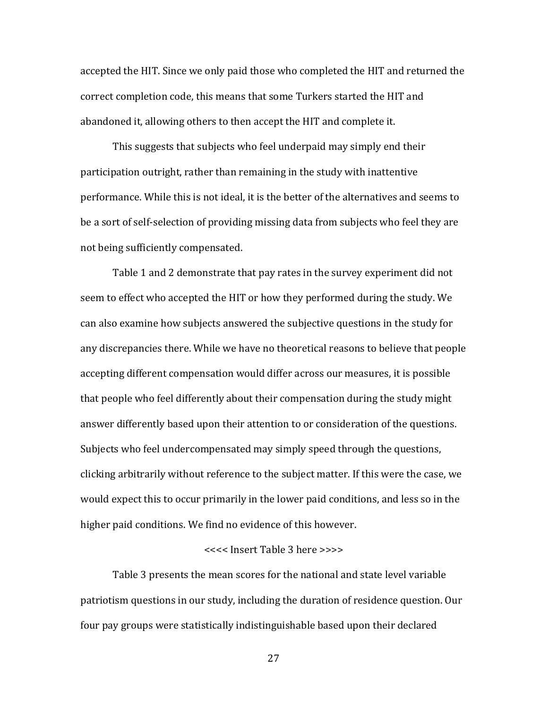accepted the HIT. Since we only paid those who completed the HIT and returned the correct completion code, this means that some Turkers started the HIT and abandoned it, allowing others to then accept the HIT and complete it.

This suggests that subjects who feel underpaid may simply end their participation outright, rather than remaining in the study with inattentive performance. While this is not ideal, it is the better of the alternatives and seems to be a sort of self-selection of providing missing data from subjects who feel they are not being sufficiently compensated.

Table 1 and 2 demonstrate that pay rates in the survey experiment did not seem to effect who accepted the HIT or how they performed during the study. We can also examine how subjects answered the subjective questions in the study for any discrepancies there. While we have no theoretical reasons to believe that people accepting different compensation would differ across our measures, it is possible that people who feel differently about their compensation during the study might answer differently based upon their attention to or consideration of the questions. Subjects who feel undercompensated may simply speed through the questions, clicking arbitrarily without reference to the subject matter. If this were the case, we would expect this to occur primarily in the lower paid conditions, and less so in the higher paid conditions. We find no evidence of this however.

## <<<< Insert Table 3 here >>>>

Table 3 presents the mean scores for the national and state level variable patriotism questions in our study, including the duration of residence question. Our four pay groups were statistically indistinguishable based upon their declared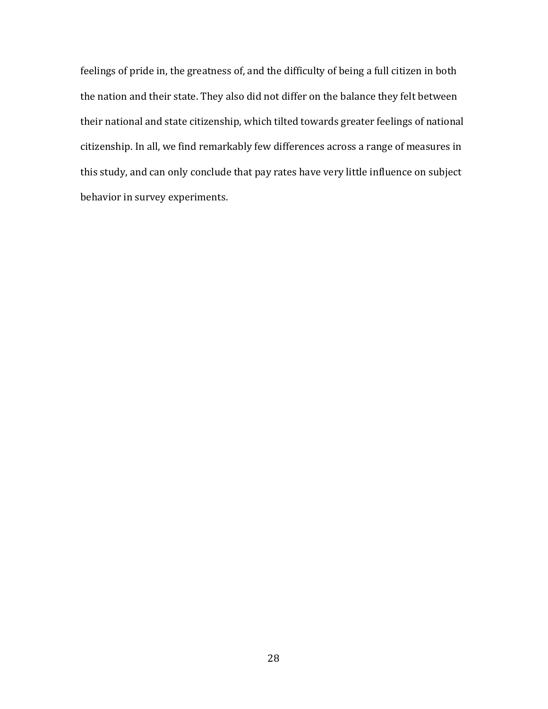feelings of pride in, the greatness of, and the difficulty of being a full citizen in both the nation and their state. They also did not differ on the balance they felt between their national and state citizenship, which tilted towards greater feelings of national citizenship. In all, we find remarkably few differences across a range of measures in this study, and can only conclude that pay rates have very little influence on subject behavior in survey experiments.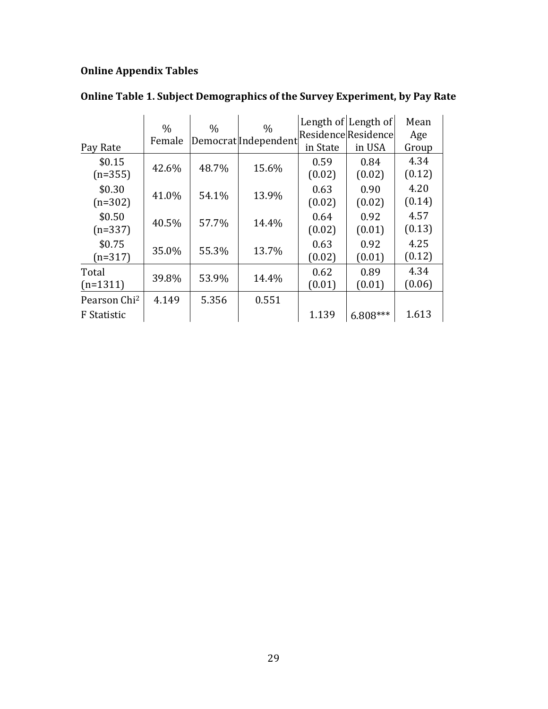# **Online Appendix Tables**

|                          | $\frac{0}{0}$ | $\frac{0}{0}$ | $\frac{0}{0}$        |          | Length of Length of | Mean   |
|--------------------------|---------------|---------------|----------------------|----------|---------------------|--------|
|                          | Female        |               | DemocratlIndependent |          | Residence Residence | Age    |
| Pay Rate                 |               |               |                      | in State | in USA              | Group  |
| \$0.15                   |               |               |                      | 0.59     | 0.84                | 4.34   |
| $(n=355)$                | 42.6%         | 48.7%         | 15.6%                | (0.02)   | (0.02)              | (0.12) |
| \$0.30                   | 41.0%         | 54.1%         |                      | 0.63     | 0.90                | 4.20   |
| $(n=302)$                |               |               | 13.9%                | (0.02)   | (0.02)              | (0.14) |
| \$0.50                   | 40.5%         | 57.7%         | 14.4%                | 0.64     | 0.92                | 4.57   |
| $(n=337)$                |               |               |                      | (0.02)   | (0.01)              | (0.13) |
| \$0.75                   | 35.0%         | 55.3%         | 13.7%                | 0.63     | 0.92                | 4.25   |
| $(n=317)$                |               |               |                      | (0.02)   | (0.01)              | (0.12) |
| Total                    | 39.8%         | 53.9%         | 14.4%                | 0.62     | 0.89                | 4.34   |
| $(n=1311)$               |               |               |                      | (0.01)   | (0.01)              | (0.06) |
| Pearson Chi <sup>2</sup> | 4.149         | 5.356         | 0.551                |          |                     |        |
| <b>F</b> Statistic       |               |               |                      | 1.139    | $6.808***$          | 1.613  |

# **Online Table 1. Subject Demographics of the Survey Experiment, by Pay Rate**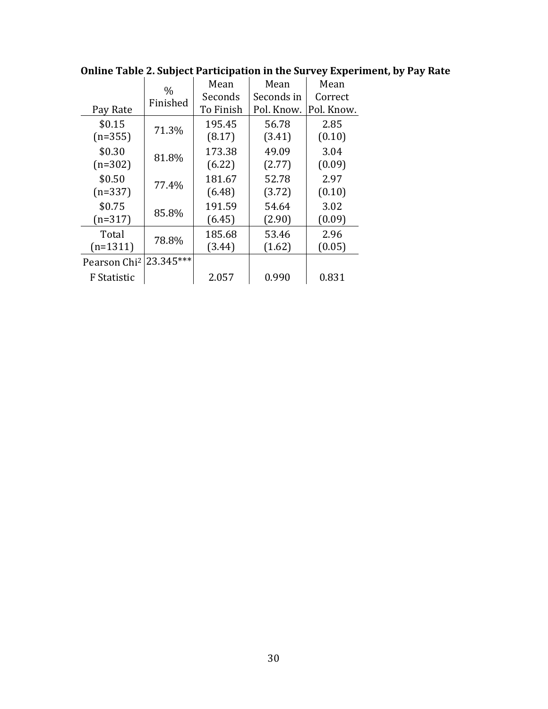|                          | $\%$      | Mean      | Mean       | Mean       |  |
|--------------------------|-----------|-----------|------------|------------|--|
|                          | Finished  | Seconds   | Seconds in | Correct    |  |
| Pay Rate                 |           | To Finish | Pol. Know. | Pol. Know. |  |
| \$0.15                   | 71.3%     | 195.45    | 56.78      | 2.85       |  |
| $(n=355)$                |           | (8.17)    | (3.41)     | (0.10)     |  |
| \$0.30                   | 81.8%     | 173.38    | 49.09      | 3.04       |  |
| $(n=302)$                |           | (6.22)    | (2.77)     | (0.09)     |  |
| \$0.50                   | 77.4%     | 181.67    | 52.78      | 2.97       |  |
| $(n=337)$                |           | (6.48)    | (3.72)     | (0.10)     |  |
| \$0.75                   | 85.8%     | 191.59    | 54.64      | 3.02       |  |
| $(n=317)$                |           | (6.45)    | (2.90)     | (0.09)     |  |
| Total                    | 78.8%     | 185.68    | 53.46      | 2.96       |  |
| $(n=1311)$               |           | (3.44)    | (1.62)     | (0.05)     |  |
| Pearson Chi <sup>2</sup> | 23.345*** |           |            |            |  |
| <b>F</b> Statistic       |           | 2.057     | 0.990      | 0.831      |  |

**Online Table 2. Subject Participation in the Survey Experiment, by Pay Rate**